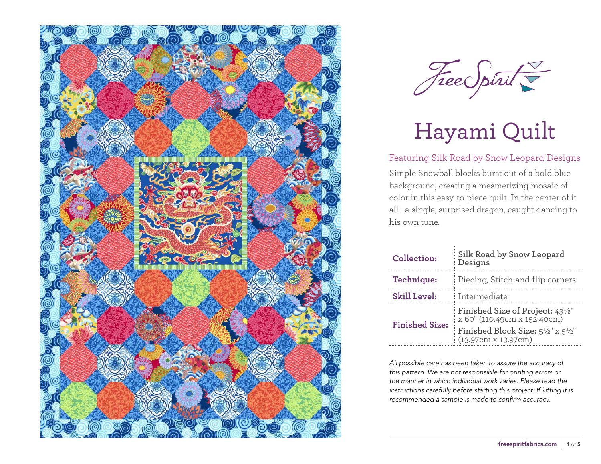



### Featuring Silk Road by Snow Leopard Designs

Simple Snowball blocks burst out of a bold blue background, creating a mesmerizing mosaic of color in this easy-to-piece quilt. In the center of it all—a single, surprised dragon, caught dancing to his own tune.

| Collection:           | Silk Road by Snow Leopard<br>Designs                                            |  |  |
|-----------------------|---------------------------------------------------------------------------------|--|--|
| Technique:            | Piecing, Stitch-and-flip corners                                                |  |  |
| <b>Skill Level:</b>   | Intermediate                                                                    |  |  |
| <b>Finished Size:</b> | Finished Size of Project: 43 <sup>1/2"</sup><br>x 60" (110.49cm x 152.40cm)     |  |  |
|                       | Finished Block Size: $5\frac{1}{2}$ " x $5\frac{1}{2}$ "<br>(13.97cm x 13.97cm) |  |  |

*All possible care has been taken to assure the accuracy of this pattern. We are not responsible for printing errors or the manner in which individual work varies. Please read the instructions carefully before starting this project. If kitting it is recommended a sample is made to confirm accuracy.*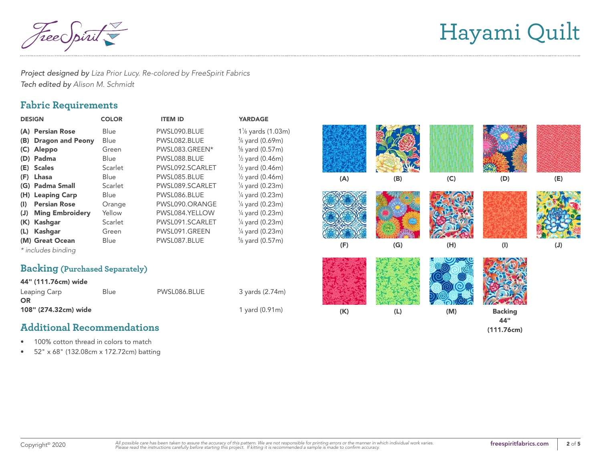Free Spirit

*Project designed by Liza Prior Lucy. Re-colored by FreeSpirit Fabrics Tech edited by Alison M. Schmidt*

## **Fabric Requirements**

| <b>DESIGN</b> |                                       | <b>COLOR</b> | <b>ITEM ID</b>  | <b>YARDAGE</b>             |     |  |
|---------------|---------------------------------------|--------------|-----------------|----------------------------|-----|--|
|               | (A) Persian Rose                      | <b>Blue</b>  | PWSL090.BLUE    | $1\%$ yards (1.03m)        |     |  |
| (B)           | <b>Dragon and Peony</b>               | Blue         | PWSL082.BLUE    | $\frac{3}{4}$ yard (0.69m) |     |  |
| (C)           | Aleppo                                | Green        | PWSL083.GREEN*  | $\frac{5}{8}$ yard (0.57m) |     |  |
|               | (D) Padma                             | <b>Blue</b>  | PWSL088.BLUE    | $\frac{1}{2}$ yard (0.46m) |     |  |
|               | (E) Scales                            | Scarlet      | PWSL092.SCARLET | $\frac{1}{2}$ yard (0.46m) |     |  |
| (F)           | Lhasa                                 | <b>Blue</b>  | PWSL085.BLUE    | $\frac{1}{2}$ yard (0.46m) | (A) |  |
|               | (G) Padma Small                       | Scarlet      | PWSL089.SCARLET | $\frac{1}{4}$ yard (0.23m) |     |  |
|               | (H) Leaping Carp                      | Blue         | PWSL086.BLUE    | $\frac{1}{4}$ yard (0.23m) |     |  |
| (I)           | <b>Persian Rose</b>                   | Orange       | PWSL090.ORANGE  | $\frac{1}{4}$ yard (0.23m) |     |  |
| (J)           | <b>Ming Embroidery</b>                | Yellow       | PWSL084.YELLOW  | $\frac{1}{4}$ yard (0.23m) |     |  |
| (K)           | Kashgar                               | Scarlet      | PWSL091.SCARLET | $\frac{1}{4}$ yard (0.23m) |     |  |
| (L)           | Kashgar                               | Green        | PWSL091.GREEN   | $\frac{1}{4}$ yard (0.23m) |     |  |
|               | (M) Great Ocean                       | Blue         | PWSL087.BLUE    | $\frac{5}{8}$ yard (0.57m) | (F) |  |
|               | * includes binding                    |              |                 |                            |     |  |
|               | <b>Backing (Purchased Separately)</b> |              |                 |                            |     |  |
|               | 44" (111.76cm) wide                   |              |                 |                            |     |  |
|               | Leaping Carp                          | Blue         | PWSL086.BLUE    | 3 yards (2.74m)            |     |  |
| <b>OR</b>     |                                       |              |                 |                            |     |  |
|               | 108" (274.32cm) wide                  |              |                 | 1 yard (0.91m)             | (K) |  |

## **Additional Recommendations**

- 100% cotton thread in colors to match
- 52" x 68" (132.08cm x 172.72cm) batting

| (A) | (B)            | $(\mathsf{C})$ | (D)                                 | $(\mathsf{E})$ |
|-----|----------------|----------------|-------------------------------------|----------------|
| (F) | (G)            | (H)            | $\left(\mathsf{I}\right)$           | $(\mathsf{J})$ |
|     |                |                |                                     |                |
| (K) | $(\mathsf{L})$ | (M)            | <b>Backing</b><br>44"<br>(111.76cm) |                |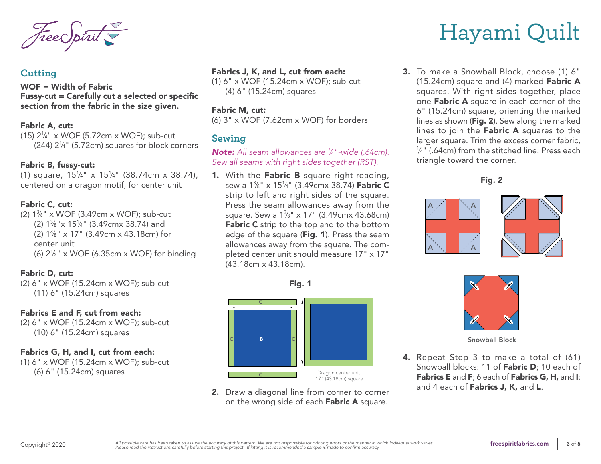### **Cutting**

WOF = Width of Fabric Fussy-cut = Carefully cut a selected or specific section from the fabric in the size given.

#### Fabric A, cut:

(15) 21 ⁄4" x WOF (5.72cm x WOF); sub-cut (244) 21 ⁄4" (5.72cm) squares for block corners

#### Fabric B, fussy-cut:

(1) square,  $15\frac{1}{4}$ " x  $15\frac{1}{4}$ " (38.74cm x 38.74), centered on a dragon motif, for center unit

#### Fabric C, cut:

(2)  $1\frac{3}{8}$ " x WOF (3.49cm x WOF); sub-cut (2)  $1\frac{3}{8}$ " x  $15\frac{1}{4}$ " (3.49cmx 38.74) and (2)  $1\frac{3}{8}$ " x 17" (3.49cm x 43.18cm) for center unit (6)  $2\frac{1}{2}$ " x WOF (6.35cm x WOF) for binding

#### Fabric D, cut:

(2) 6" x WOF (15.24cm x WOF); sub-cut (11) 6" (15.24cm) squares

#### Fabrics E and F, cut from each:

(2) 6" x WOF (15.24cm x WOF); sub-cut (10) 6" (15.24cm) squares

### Fabrics G, H, and I, cut from each:

(1) 6" x WOF (15.24cm x WOF); sub-cut (6) 6" (15.24cm) squares

### Fabrics J, K, and L, cut from each:

(1) 6" x WOF (15.24cm x WOF); sub-cut (4) 6" (15.24cm) squares

#### Fabric M, cut:

(6) 3" x WOF (7.62cm x WOF) for borders

## **Sewing**

*Note: All seam allowances are 1 ⁄4"-wide (.64cm). Sew all seams with right sides together (RST).*

1. With the Fabric B square right-reading, sew a 1¾" x 15¼" (3.49cmx 38.74) **Fabric C** strip to left and right sides of the square. Press the seam allowances away from the square. Sew a 1¾" x 17" (3.49cmx 43.68cm) Fabric C strip to the top and to the bottom edge of the square (Fig. 1). Press the seam allowances away from the square. The completed center unit should measure 17" x 17" (43.18cm x 43.18cm).

Fig. 1



2. Draw a diagonal line from corner to corner on the wrong side of each Fabric A square.

3. To make a Snowball Block, choose (1) 6"  $(15.24cm)$  square and  $(4)$  marked **Fabric A** squares. With right sides together, place one Fabric A square in each corner of the 6" (15.24cm) square, orienting the marked lines as shown (Fig. 2). Sew along the marked lines to join the Fabric A squares to the larger square. Trim the excess corner fabric, 1 ⁄4" (.64cm) from the stitched line. Press each triangle toward the corner.







Snowball Block

4. Repeat Step 3 to make a total of (61) Snowball blocks: 11 of Fabric D; 10 each of Fabrics E and F; 6 each of Fabrics G, H, and I; and 4 each of Fabrics J, K, and L.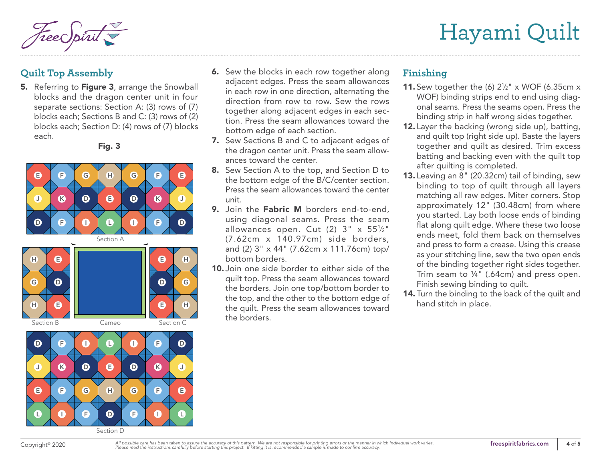Hayami Quilt

# **Quilt Top Assembly**

5. Referring to Figure 3, arrange the Snowball blocks and the dragon center unit in four separate sections: Section A: (3) rows of (7) blocks each; Sections B and C: (3) rows of (2) blocks each; Section D: (4) rows of (7) blocks each.

Fig. 3







- **6.** Sew the blocks in each row together along adjacent edges. Press the seam allowances in each row in one direction, alternating the direction from row to row. Sew the rows together along adjacent edges in each section. Press the seam allowances toward the bottom edge of each section.
- 7. Sew Sections B and C to adjacent edges of the dragon center unit. Press the seam allowances toward the center.
- 8. Sew Section A to the top, and Section D to the bottom edge of the B/C/center section. Press the seam allowances toward the center unit.
- 9. Join the Fabric M borders end-to-end. using diagonal seams. Press the seam allowances open. Cut (2)  $3" \times 55\frac{1}{2}"$ (7.62cm x 140.97cm) side borders, and (2) 3" x 44" (7.62cm x 111.76cm) top/ bottom borders.
- 10. Join one side border to either side of the quilt top. Press the seam allowances toward the borders. Join one top/bottom border to the top, and the other to the bottom edge of the quilt. Press the seam allowances toward the borders.

## **Finishing**

- **11.** Sew together the (6)  $2\frac{1}{2}$ " x WOF (6.35cm x WOF) binding strips end to end using diagonal seams. Press the seams open. Press the binding strip in half wrong sides together.
- 12. Layer the backing (wrong side up), batting, and quilt top (right side up). Baste the layers together and quilt as desired. Trim excess batting and backing even with the quilt top after quilting is completed.
- 13. Leaving an 8" (20.32cm) tail of binding, sew binding to top of quilt through all layers matching all raw edges. Miter corners. Stop approximately 12" (30.48cm) from where you started. Lay both loose ends of binding flat along quilt edge. Where these two loose ends meet, fold them back on themselves and press to form a crease. Using this crease as your stitching line, sew the two open ends of the binding together right sides together. Trim seam to ¼" (.64cm) and press open. Finish sewing binding to quilt.
- 14. Turn the binding to the back of the quilt and hand stitch in place.